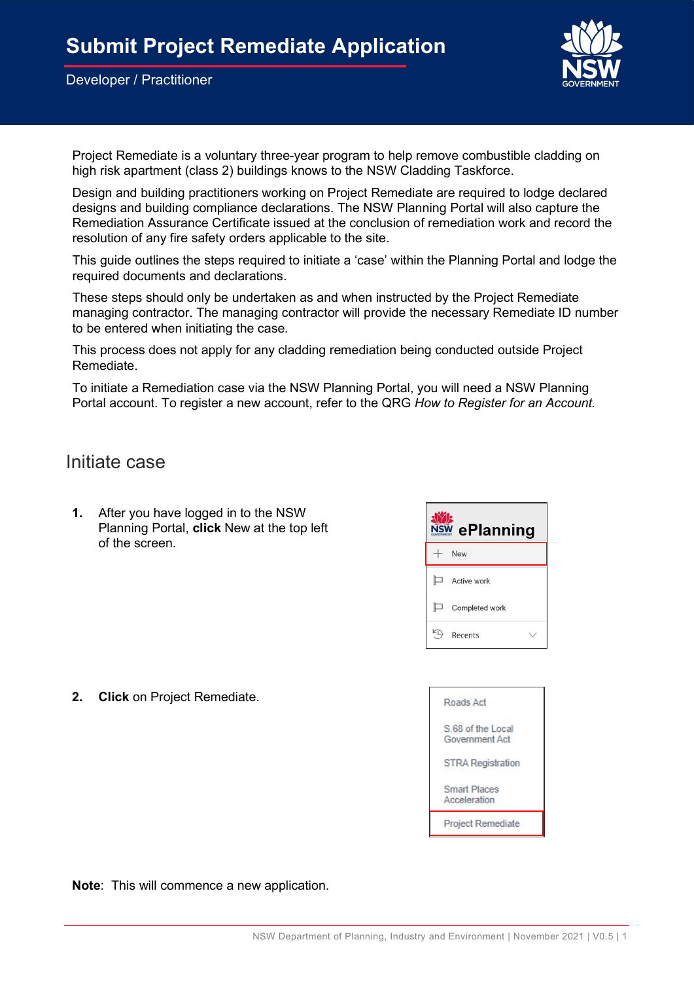

Project Remediate is a voluntary three-year program to help remove combustible cladding on high risk apartment (class 2) buildings knows to the NSW Cladding Taskforce.

Design and building practitioners working on Project Remediate are required to lodge declared designs and building compliance declarations. The NSW Planning Portal will also capture the Remediation Assurance Certificate issued at the conclusion of remediation work and record the resolution of any fire safety orders applicable to the site.

This guide outlines the steps required to initiate a 'case' within the Planning Portal and lodge the required documents and declarations.

These steps should only be undertaken as and when instructed by the Project Remediate managing contractor. The managing contractor will provide the necessary Remediate ID number to be entered when initiating the case.

This process does not apply for any cladding remediation being conducted outside Project Remediate.

To initiate a Remediation case via the NSW Planning Portal, you will need a NSW Planning Portal account. To register a new account, refer to the QRG How to Register for an Account.

Initiate case

1. After you have logged in to the NSW Planning Portal, click New at the top left of the screen.



2. Click on Project Remediate.



Note: This will commence a new application.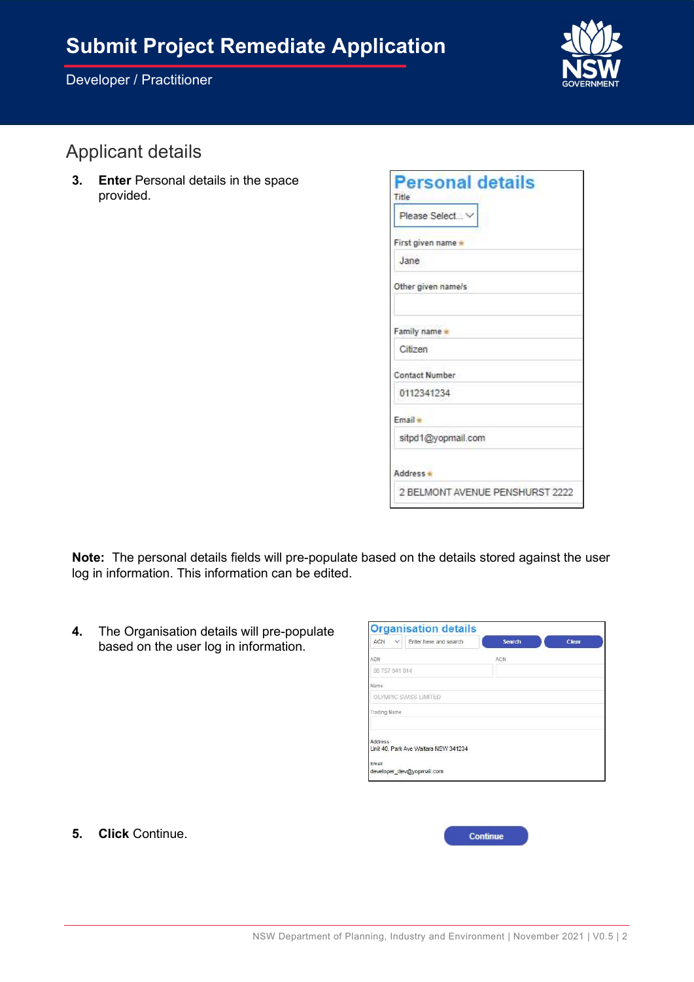

# Applicant details

3. Enter Personal details in the space provided.

| <b>Personal details</b>         |
|---------------------------------|
| Title                           |
| Please Select V                 |
| First given name                |
| Jane                            |
| Other given name/s              |
| Family name *                   |
| Citizen                         |
| Contact Number                  |
| 0112341234                      |
| Email *                         |
| sitpd1@yopmail.com              |
| Address *                       |
| 2 BELMONT AVENUE PENSHURST 2222 |

Note: The personal details fields will pre-populate based on the details stored against the user log in information. This information can be edited.

4. The Organisation details will pre-populate based on the user log in information.

| ACN<br>$\vee$  | Enter here and search                | <b>Search</b> | <b>Clear</b> |
|----------------|--------------------------------------|---------------|--------------|
| ABN            |                                      | ACN           |              |
| 98 757 941 814 |                                      |               |              |
| Name           |                                      |               |              |
|                | OLYMPIC SWISS LIMITED                |               |              |
| Trading Name   |                                      |               |              |
|                |                                      |               |              |
| Address        |                                      |               |              |
|                | Unit 40, Park Ave Waitara NSW 341234 |               |              |
| Email          |                                      |               |              |
|                | developer_dev@yopmail.com            |               |              |

5. Click Continue.

| Continu<br><b>STEP</b> |  |
|------------------------|--|
|                        |  |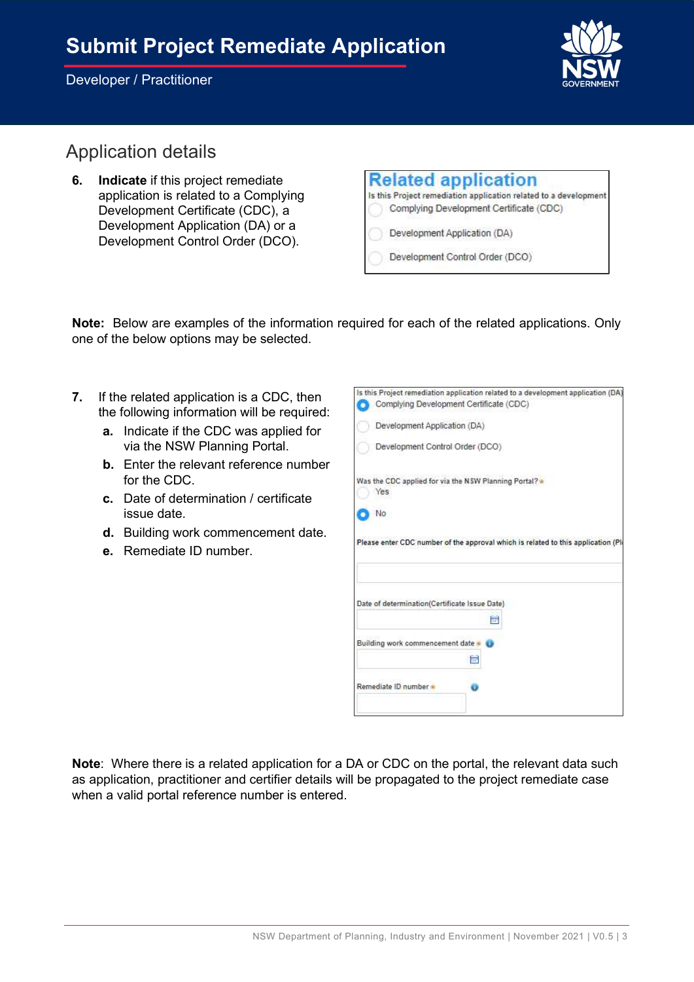# Submit Project Remediate Application

#### Developer / Practitioner



## Application details

6. Indicate if this project remediate application is related to a Complying Development Certificate (CDC), a Development Application (DA) or a Development Control Order (DCO).

| <b>Related application</b>                                       |
|------------------------------------------------------------------|
| Is this Project remediation application related to a development |
| Complying Development Certificate (CDC)                          |
| Development Application (DA)                                     |
| Development Control Order (DCO)                                  |

Note: Below are examples of the information required for each of the related applications. Only one of the below options may be selected.

- 7. If the related application is a CDC, then the following information will be required:
	- a. Indicate if the CDC was applied for via the NSW Planning Portal.
	- b. Enter the relevant reference number for the CDC.
	- c. Date of determination / certificate issue date.
	- d. Building work commencement date.
	- e. Remediate ID number.

| Complying Development Certificate (CDC)<br>Development Application (DA) |                                                                                  |
|-------------------------------------------------------------------------|----------------------------------------------------------------------------------|
|                                                                         |                                                                                  |
|                                                                         |                                                                                  |
| Development Control Order (DCO)                                         |                                                                                  |
| Was the CDC applied for via the NSW Planning Portal?<br>Yes             |                                                                                  |
| No                                                                      |                                                                                  |
|                                                                         | Please enter CDC number of the approval which is related to this application (Pl |
| Date of determination(Certificate Issue Date)                           | 匾                                                                                |
| Building work commencement date                                         |                                                                                  |
|                                                                         | h.                                                                               |
| Remediate ID number *                                                   |                                                                                  |
|                                                                         |                                                                                  |

Note: Where there is a related application for a DA or CDC on the portal, the relevant data such as application, practitioner and certifier details will be propagated to the project remediate case when a valid portal reference number is entered.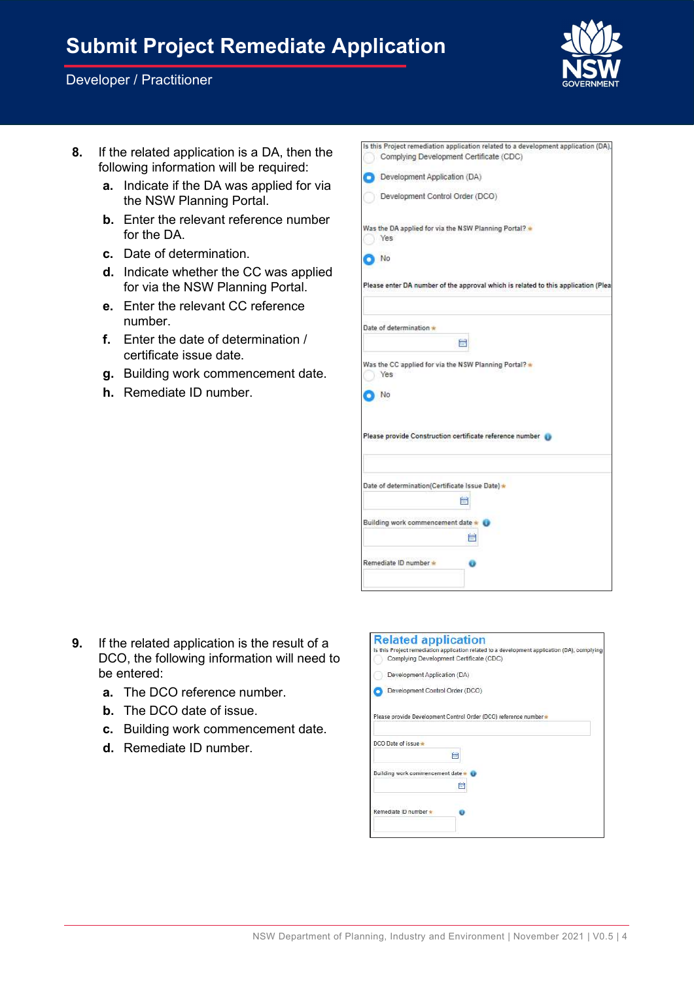# Submit Project Remediate Application

#### Developer / Practitioner



- 8. If the related application is a DA, then the following information will be required:
	- a. Indicate if the DA was applied for via the NSW Planning Portal.
	- b. Enter the relevant reference number for the DA.
	- c. Date of determination.
	- d. Indicate whether the CC was applied for via the NSW Planning Portal.
	- e. Enter the relevant CC reference number.
	- f. Enter the date of determination / certificate issue date.
	- g. Building work commencement date.
	- h. Remediate ID number.

|                                                                    | Is this Project remediation application related to a development application (DA), |
|--------------------------------------------------------------------|------------------------------------------------------------------------------------|
| Complying Development Certificate (CDC)                            |                                                                                    |
| Development Application (DA)                                       |                                                                                    |
| Development Control Order (DCO)                                    |                                                                                    |
| Was the DA applied for via the NSW Planning Portal? .<br>Yes       |                                                                                    |
| No                                                                 |                                                                                    |
|                                                                    | Please enter DA number of the approval which is related to this application (Plea  |
| Date of determination                                              |                                                                                    |
|                                                                    | 扁                                                                                  |
| Was the CC applied for via the NSW Planning Portal? *<br>Yes<br>No |                                                                                    |
|                                                                    | Please provide Construction certificate reference number                           |
| Date of determination(Certificate Issue Date) *                    |                                                                                    |
|                                                                    | 氳                                                                                  |
| Building work commencement date * 0                                |                                                                                    |
|                                                                    | 酾                                                                                  |
| Remediate ID number *                                              |                                                                                    |
|                                                                    |                                                                                    |

- 9. If the related application is the result of a DCO, the following information will need to be entered:
	- a. The DCO reference number.
	- b. The DCO date of issue.
	- c. Building work commencement date.
	- d. Remediate ID number.

| <b>Related application</b><br>Complying Development Certificate (CDC) | Is this Project remediation application related to a development application (DA), complying |
|-----------------------------------------------------------------------|----------------------------------------------------------------------------------------------|
|                                                                       |                                                                                              |
| Development Application (DA)                                          |                                                                                              |
| Development Control Order (DCO)                                       |                                                                                              |
|                                                                       |                                                                                              |
|                                                                       | Please provide Development Control Order (DCO) reference number                              |
|                                                                       |                                                                                              |
| DCO Date of issue                                                     |                                                                                              |
|                                                                       | 扁                                                                                            |
|                                                                       |                                                                                              |
| Building work commencement date                                       |                                                                                              |
|                                                                       | 藟                                                                                            |
|                                                                       |                                                                                              |
| Remediate ID number *                                                 |                                                                                              |
|                                                                       |                                                                                              |
|                                                                       |                                                                                              |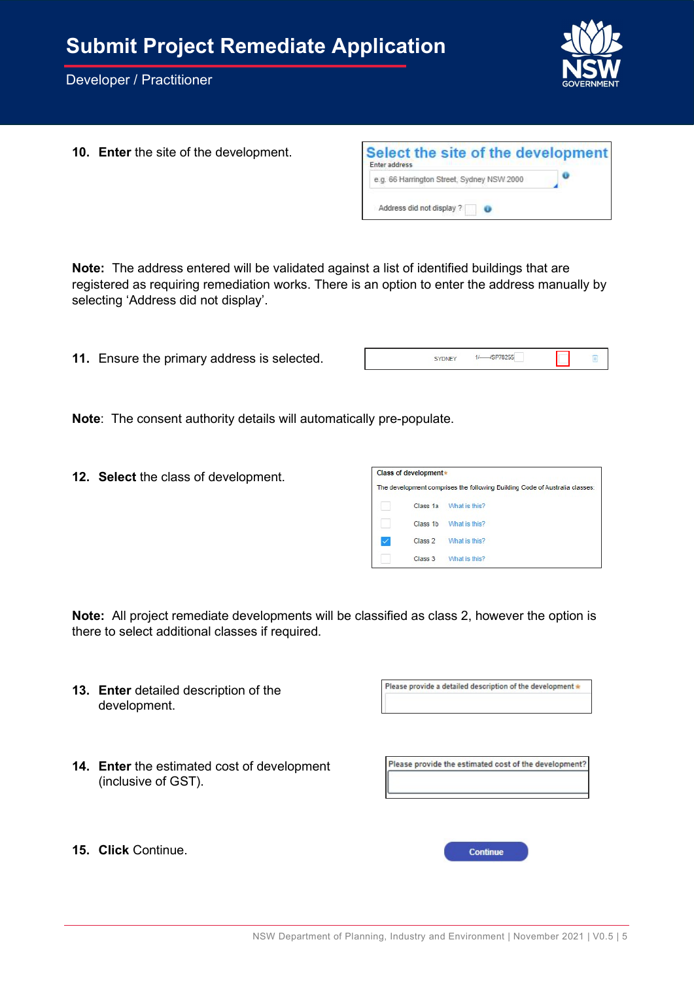

10. Enter the site of the development.

| Select the site of the development<br>Enter address |  |
|-----------------------------------------------------|--|
| e.g. 66 Harrington Street, Sydney NSW 2000          |  |
| Address did not display ?                           |  |

Note: The address entered will be validated against a list of identified buildings that are registered as requiring remediation works. There is an option to enter the address manually by selecting 'Address did not display'.

11. Ensure the primary address is selected.

Note: The consent authority details will automatically pre-populate.

12. Select the class of development.

| Class of development * |                                                                             |
|------------------------|-----------------------------------------------------------------------------|
|                        | The development comprises the following Building Code of Australia classes: |
| Class 1a               | What is this?                                                               |
| Class 1b               | What is this?                                                               |
| Class <sub>2</sub>     | What is this?                                                               |
| Class 3                | What is this?                                                               |

Note: All project remediate developments will be classified as class 2, however the option is there to select additional classes if required.

Please provide a detailed description of the development \* 13. Enter detailed description of the development. 14. Enter the estimated cost of development Please provide the estimated cost of the development? (inclusive of GST). 15. Click Continue. Continue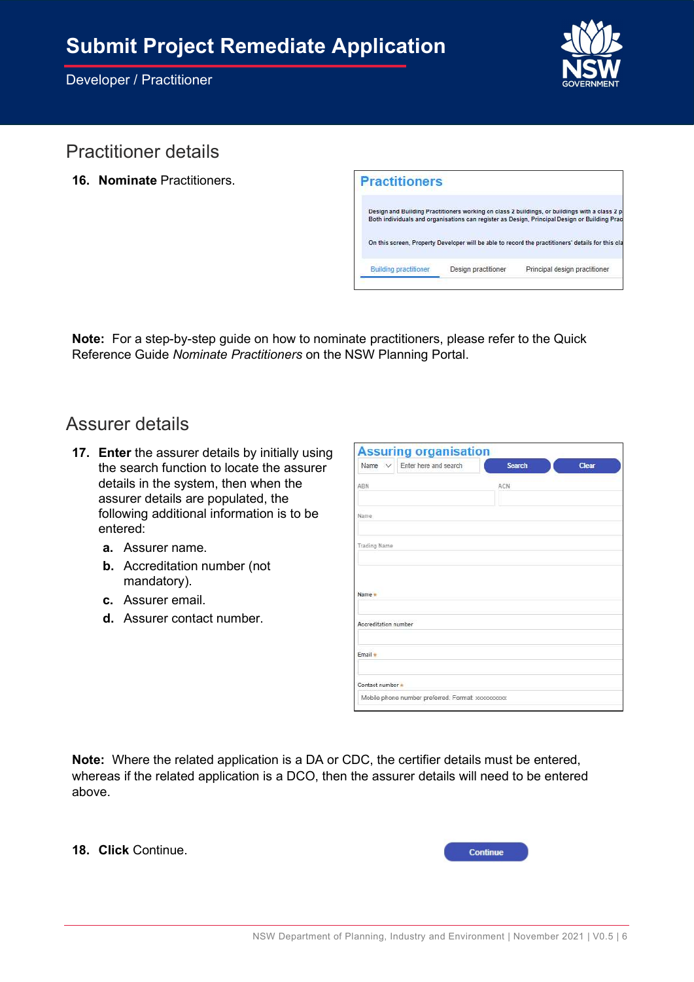

## Practitioner details

16. Nominate Practitioners.

| <b>Practitioners</b> |                                                                                                                                                                                                 |
|----------------------|-------------------------------------------------------------------------------------------------------------------------------------------------------------------------------------------------|
|                      | Design and Building Practitioners working on class 2 buildings, or buildings with a class 2 pa<br>Both individuals and organisations can register as Design, Principal Design or Building Pract |
|                      | On this screen, Property Developer will be able to record the practitioners' details for this cla                                                                                               |
|                      |                                                                                                                                                                                                 |

Note: For a step-by-step guide on how to nominate practitioners, please refer to the Quick Reference Guide Nominate Practitioners on the NSW Planning Portal.

### Assurer details

- 17. Enter the assurer details by initially using the search function to locate the assurer details in the system, then when the assurer details are populated, the following additional information is to be entered:
	- a. Assurer name.
	- b. Accreditation number (not mandatory).
	- c. Assurer email.
	- d. Assurer contact number.

| Name $\vee$                    | Enter here and search | <b>Search</b> | Clear |
|--------------------------------|-----------------------|---------------|-------|
| ABN                            |                       | ACN           |       |
| Name                           |                       |               |       |
| Trading Name                   |                       |               |       |
|                                |                       |               |       |
|                                |                       |               |       |
| Name -<br>Accreditation number |                       |               |       |
| Email *                        |                       |               |       |

Note: Where the related application is a DA or CDC, the certifier details must be entered, whereas if the related application is a DCO, then the assurer details will need to be entered above.

18. Click Continue.

| <b>Continue</b> |  |
|-----------------|--|
|                 |  |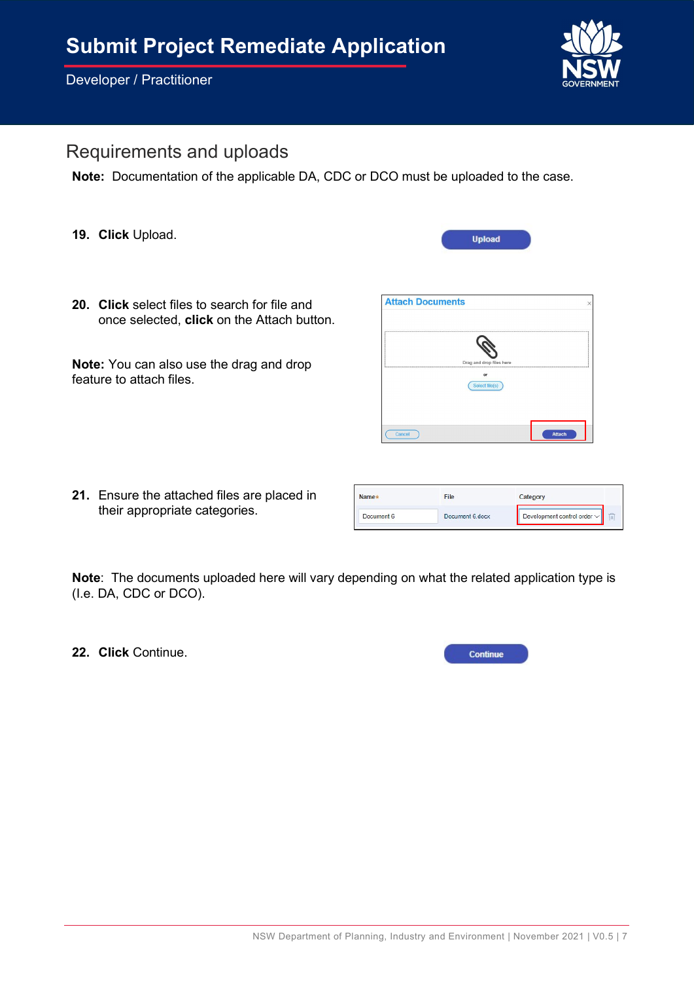Developer / Practitioner



### Requirements and uploads

Note: Documentation of the applicable DA, CDC or DCO must be uploaded to the case.

19. Click Upload.

**Attach Documents** 

20. Click select files to search for file and once selected, click on the Attach button.

Note: You can also use the drag and drop feature to attach files.

21. Ensure the attached files are placed in their appropriate categories.

|        | Drag and drop files here |               |
|--------|--------------------------|---------------|
|        | or                       |               |
|        | Select file(s)           |               |
|        |                          |               |
|        |                          |               |
|        |                          |               |
| Cancel |                          | <b>Attach</b> |

**Upload** 

| Name*      | File            | Category                         |  |
|------------|-----------------|----------------------------------|--|
| Document 6 | Document 6 docx | Development control order $\vee$ |  |

Note: The documents uploaded here will vary depending on what the related application type is (I.e. DA, CDC or DCO).

22. Click Continue.

| <b>Continue</b> |  |
|-----------------|--|
|                 |  |